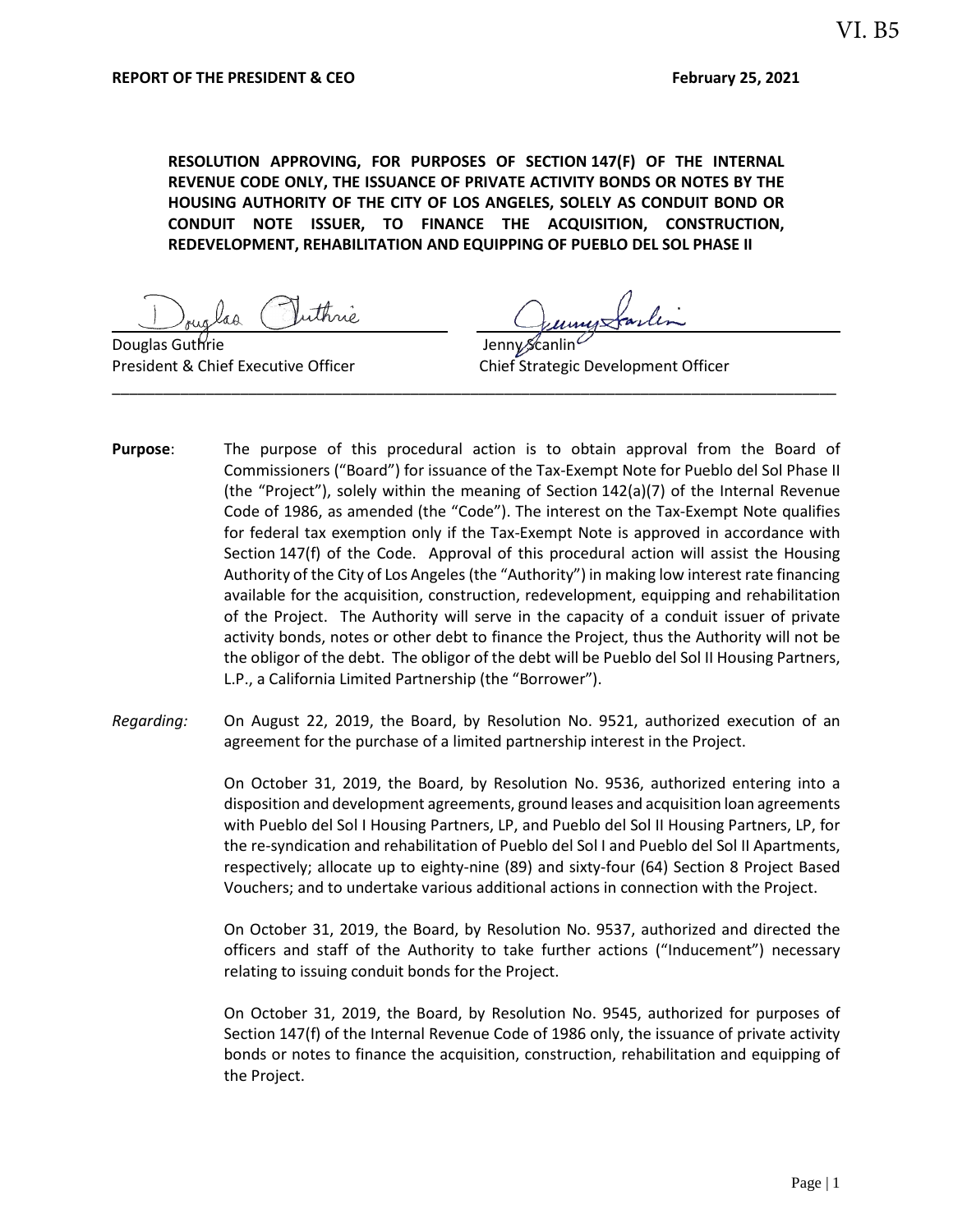**RESOLUTION APPROVING, FOR PURPOSES OF SECTION 147(F) OF THE INTERNAL REVENUE CODE ONLY, THE ISSUANCE OF PRIVATE ACTIVITY BONDS OR NOTES BY THE HOUSING AUTHORITY OF THE CITY OF LOS ANGELES, SOLELY AS CONDUIT BOND OR CONDUIT NOTE ISSUER, TO FINANCE THE ACQUISITION, CONSTRUCTION, REDEVELOPMENT, REHABILITATION AND EQUIPPING OF PUEBLO DEL SOL PHASE II**

Douglas Guthrie **Contract Contract Contract Contract Contract Contract Contract Contract Contract Contract Contract Contract Contract Contract Contract Contract Contract Contract Contract Contract Contract Contract Contrac** 

President & Chief Executive Officer Chief Strategic Development Officer

**Purpose**: The purpose of this procedural action is to obtain approval from the Board of Commissioners ("Board") for issuance of the Tax-Exempt Note for Pueblo del Sol Phase II (the "Project"), solely within the meaning of Section 142(a)(7) of the Internal Revenue Code of 1986, as amended (the "Code"). The interest on the Tax-Exempt Note qualifies for federal tax exemption only if the Tax-Exempt Note is approved in accordance with Section 147(f) of the Code. Approval of this procedural action will assist the Housing Authority of the City of Los Angeles (the "Authority") in making low interest rate financing available for the acquisition, construction, redevelopment, equipping and rehabilitation of the Project. The Authority will serve in the capacity of a conduit issuer of private activity bonds, notes or other debt to finance the Project, thus the Authority will not be the obligor of the debt. The obligor of the debt will be Pueblo del Sol II Housing Partners, L.P., a California Limited Partnership (the "Borrower").

\_\_\_\_\_\_\_\_\_\_\_\_\_\_\_\_\_\_\_\_\_\_\_\_\_\_\_\_\_\_\_\_\_\_\_\_\_\_\_\_\_\_\_\_\_\_\_\_\_\_\_\_\_\_\_\_\_\_\_\_\_\_\_\_\_\_\_\_\_\_\_\_\_\_\_\_\_\_\_\_\_\_\_\_\_

*Regarding:* On August 22, 2019, the Board, by Resolution No. 9521, authorized execution of an agreement for the purchase of a limited partnership interest in the Project.

> On October 31, 2019, the Board, by Resolution No. 9536, authorized entering into a disposition and development agreements, ground leases and acquisition loan agreements with Pueblo del Sol I Housing Partners, LP, and Pueblo del Sol II Housing Partners, LP, for the re-syndication and rehabilitation of Pueblo del Sol I and Pueblo del Sol II Apartments, respectively; allocate up to eighty-nine (89) and sixty-four (64) Section 8 Project Based Vouchers; and to undertake various additional actions in connection with the Project.

> On October 31, 2019, the Board, by Resolution No. 9537, authorized and directed the officers and staff of the Authority to take further actions ("Inducement") necessary relating to issuing conduit bonds for the Project.

> On October 31, 2019, the Board, by Resolution No. 9545, authorized for purposes of Section 147(f) of the Internal Revenue Code of 1986 only, the issuance of private activity bonds or notes to finance the acquisition, construction, rehabilitation and equipping of the Project.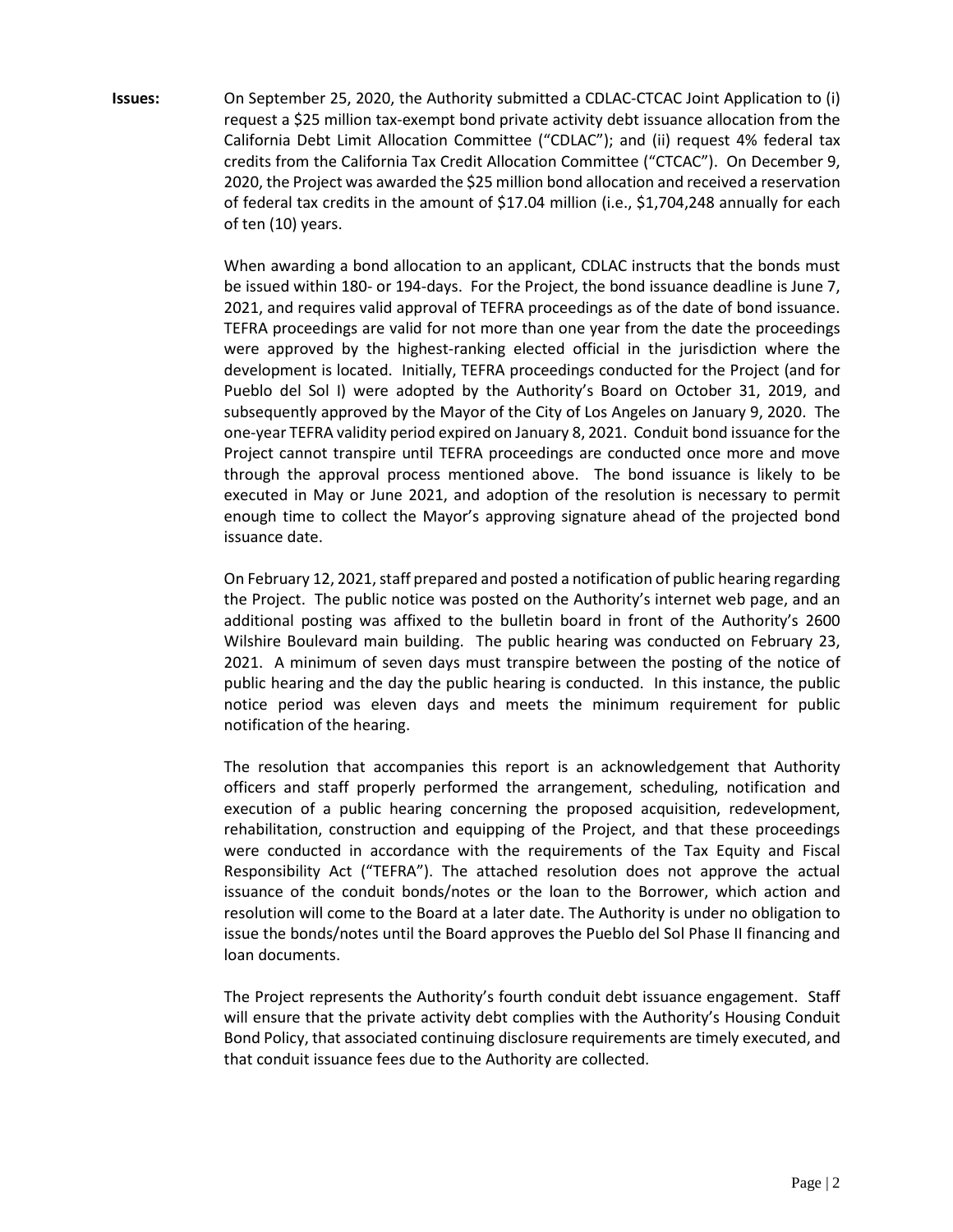**Issues:** On September 25, 2020, the Authority submitted a CDLAC-CTCAC Joint Application to (i) request a \$25 million tax-exempt bond private activity debt issuance allocation from the California Debt Limit Allocation Committee ("CDLAC"); and (ii) request 4% federal tax credits from the California Tax Credit Allocation Committee ("CTCAC"). On December 9, 2020, the Project was awarded the \$25 million bond allocation and received a reservation of federal tax credits in the amount of \$17.04 million (i.e., \$1,704,248 annually for each of ten (10) years.

> When awarding a bond allocation to an applicant, CDLAC instructs that the bonds must be issued within 180- or 194-days. For the Project, the bond issuance deadline is June 7, 2021, and requires valid approval of TEFRA proceedings as of the date of bond issuance. TEFRA proceedings are valid for not more than one year from the date the proceedings were approved by the highest-ranking elected official in the jurisdiction where the development is located. Initially, TEFRA proceedings conducted for the Project (and for Pueblo del Sol I) were adopted by the Authority's Board on October 31, 2019, and subsequently approved by the Mayor of the City of Los Angeles on January 9, 2020. The one-year TEFRA validity period expired on January 8, 2021. Conduit bond issuance for the Project cannot transpire until TEFRA proceedings are conducted once more and move through the approval process mentioned above. The bond issuance is likely to be executed in May or June 2021, and adoption of the resolution is necessary to permit enough time to collect the Mayor's approving signature ahead of the projected bond issuance date.

> On February 12, 2021, staff prepared and posted a notification of public hearing regarding the Project. The public notice was posted on the Authority's internet web page, and an additional posting was affixed to the bulletin board in front of the Authority's 2600 Wilshire Boulevard main building. The public hearing was conducted on February 23, 2021. A minimum of seven days must transpire between the posting of the notice of public hearing and the day the public hearing is conducted. In this instance, the public notice period was eleven days and meets the minimum requirement for public notification of the hearing.

> The resolution that accompanies this report is an acknowledgement that Authority officers and staff properly performed the arrangement, scheduling, notification and execution of a public hearing concerning the proposed acquisition, redevelopment, rehabilitation, construction and equipping of the Project, and that these proceedings were conducted in accordance with the requirements of the Tax Equity and Fiscal Responsibility Act ("TEFRA"). The attached resolution does not approve the actual issuance of the conduit bonds/notes or the loan to the Borrower, which action and resolution will come to the Board at a later date. The Authority is under no obligation to issue the bonds/notes until the Board approves the Pueblo del Sol Phase II financing and loan documents.

> The Project represents the Authority's fourth conduit debt issuance engagement. Staff will ensure that the private activity debt complies with the Authority's Housing Conduit Bond Policy, that associated continuing disclosure requirements are timely executed, and that conduit issuance fees due to the Authority are collected.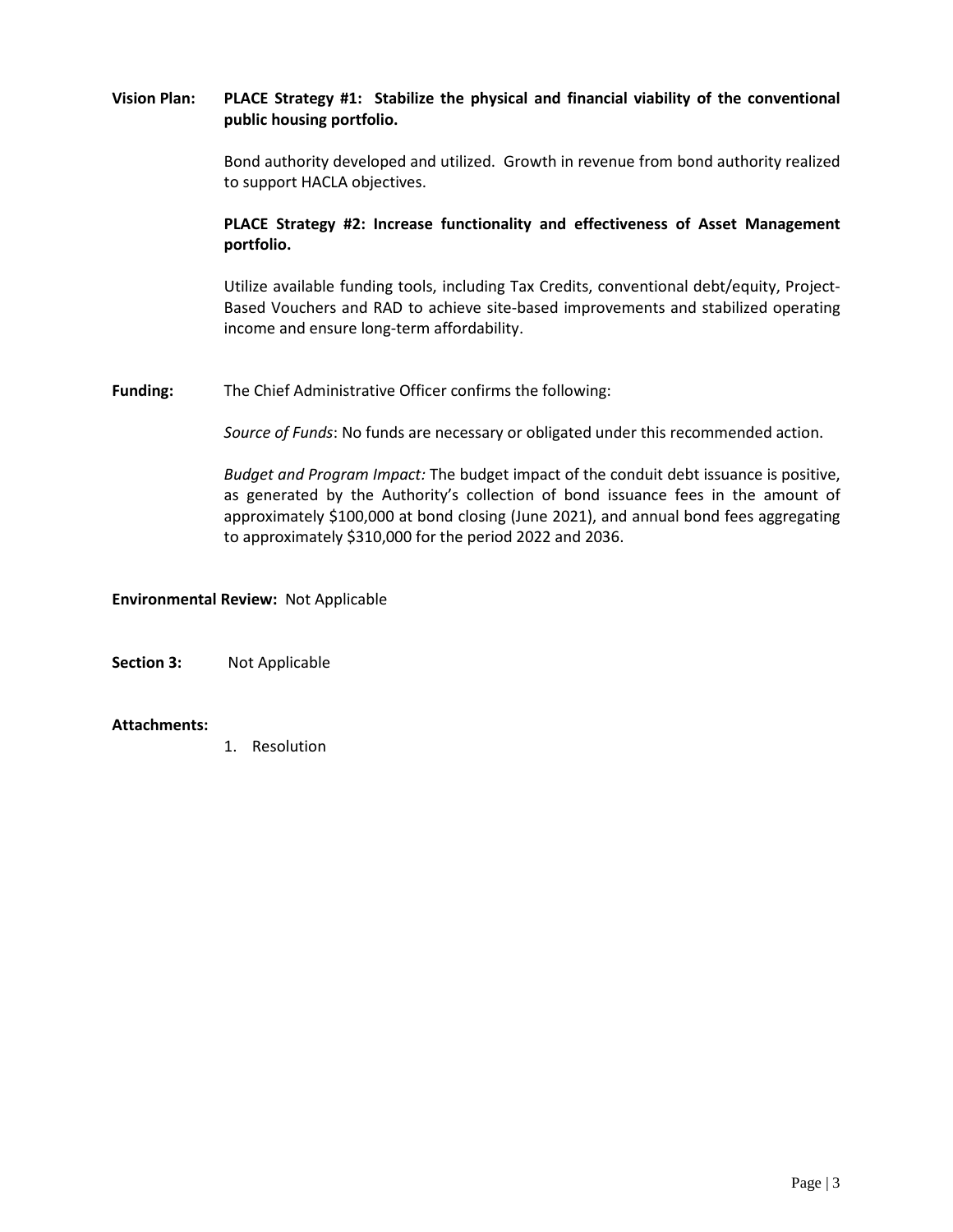## **Vision Plan: PLACE Strategy #1: Stabilize the physical and financial viability of the conventional public housing portfolio.**

Bond authority developed and utilized. Growth in revenue from bond authority realized to support HACLA objectives.

### **PLACE Strategy #2: Increase functionality and effectiveness of Asset Management portfolio.**

Utilize available funding tools, including Tax Credits, conventional debt/equity, Project-Based Vouchers and RAD to achieve site-based improvements and stabilized operating income and ensure long-term affordability.

**Funding:** The Chief Administrative Officer confirms the following:

*Source of Funds*: No funds are necessary or obligated under this recommended action.

*Budget and Program Impact:* The budget impact of the conduit debt issuance is positive, as generated by the Authority's collection of bond issuance fees in the amount of approximately \$100,000 at bond closing (June 2021), and annual bond fees aggregating to approximately \$310,000 for the period 2022 and 2036.

### **Environmental Review:** Not Applicable

**Section 3:** Not Applicable

#### **Attachments:**

1. Resolution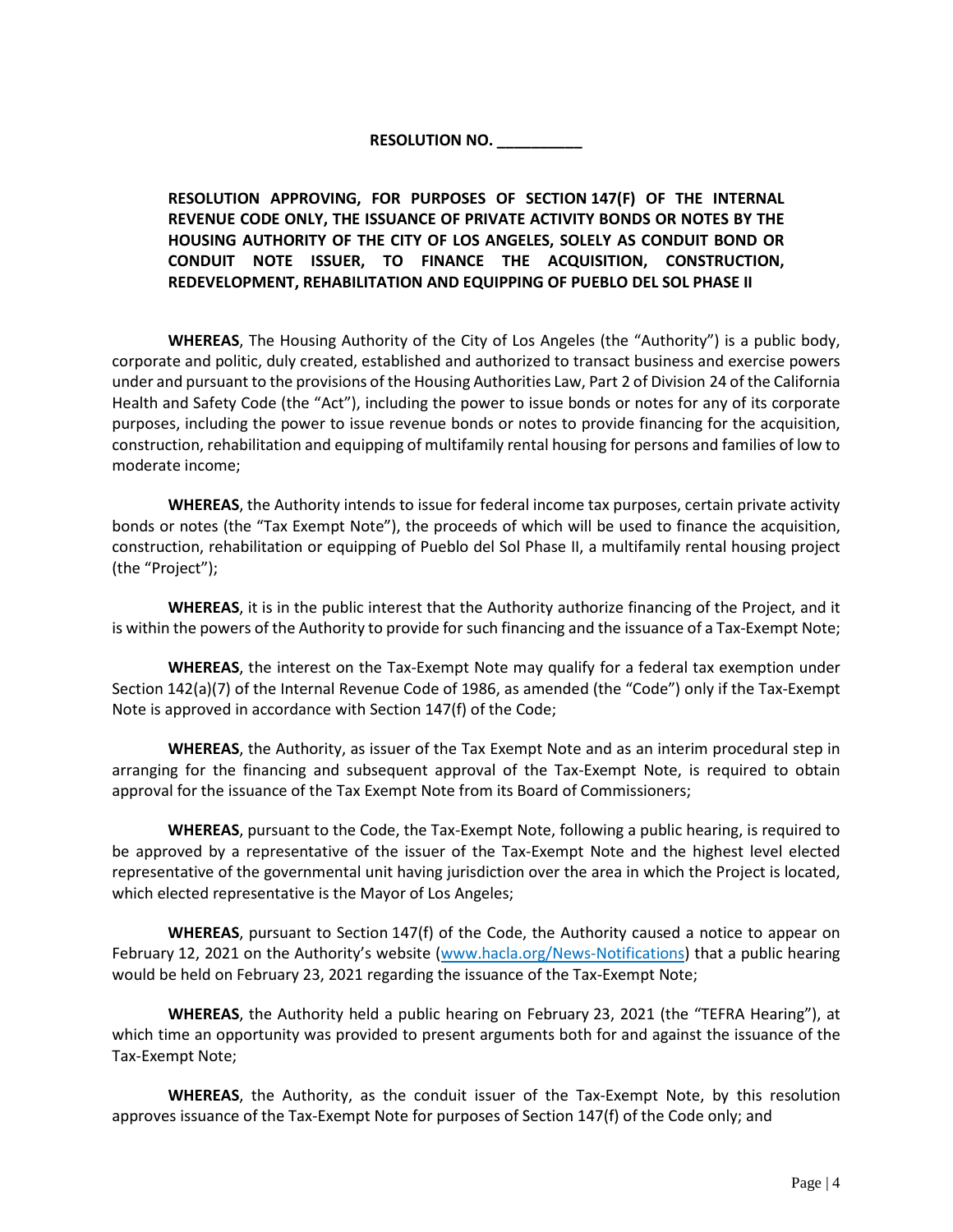# **RESOLUTION NO. \_\_\_\_\_\_\_\_\_\_**

# **RESOLUTION APPROVING, FOR PURPOSES OF SECTION 147(F) OF THE INTERNAL REVENUE CODE ONLY, THE ISSUANCE OF PRIVATE ACTIVITY BONDS OR NOTES BY THE HOUSING AUTHORITY OF THE CITY OF LOS ANGELES, SOLELY AS CONDUIT BOND OR CONDUIT NOTE ISSUER, TO FINANCE THE ACQUISITION, CONSTRUCTION, REDEVELOPMENT, REHABILITATION AND EQUIPPING OF PUEBLO DEL SOL PHASE II**

**WHEREAS**, The Housing Authority of the City of Los Angeles (the "Authority") is a public body, corporate and politic, duly created, established and authorized to transact business and exercise powers under and pursuant to the provisions of the Housing Authorities Law, Part 2 of Division 24 of the California Health and Safety Code (the "Act"), including the power to issue bonds or notes for any of its corporate purposes, including the power to issue revenue bonds or notes to provide financing for the acquisition, construction, rehabilitation and equipping of multifamily rental housing for persons and families of low to moderate income;

**WHEREAS**, the Authority intends to issue for federal income tax purposes, certain private activity bonds or notes (the "Tax Exempt Note"), the proceeds of which will be used to finance the acquisition, construction, rehabilitation or equipping of Pueblo del Sol Phase II, a multifamily rental housing project (the "Project");

**WHEREAS**, it is in the public interest that the Authority authorize financing of the Project, and it is within the powers of the Authority to provide for such financing and the issuance of a Tax-Exempt Note;

**WHEREAS**, the interest on the Tax-Exempt Note may qualify for a federal tax exemption under Section 142(a)(7) of the Internal Revenue Code of 1986, as amended (the "Code") only if the Tax-Exempt Note is approved in accordance with Section 147(f) of the Code;

**WHEREAS**, the Authority, as issuer of the Tax Exempt Note and as an interim procedural step in arranging for the financing and subsequent approval of the Tax-Exempt Note, is required to obtain approval for the issuance of the Tax Exempt Note from its Board of Commissioners;

**WHEREAS**, pursuant to the Code, the Tax-Exempt Note, following a public hearing, is required to be approved by a representative of the issuer of the Tax-Exempt Note and the highest level elected representative of the governmental unit having jurisdiction over the area in which the Project is located, which elected representative is the Mayor of Los Angeles;

**WHEREAS**, pursuant to Section 147(f) of the Code, the Authority caused a notice to appear on February 12, 2021 on the Authority's website [\(www.hacla.org/News-Notifications\)](http://www.hacla.org/News-Notifications) that a public hearing would be held on February 23, 2021 regarding the issuance of the Tax-Exempt Note;

**WHEREAS**, the Authority held a public hearing on February 23, 2021 (the "TEFRA Hearing"), at which time an opportunity was provided to present arguments both for and against the issuance of the Tax-Exempt Note;

**WHEREAS**, the Authority, as the conduit issuer of the Tax-Exempt Note, by this resolution approves issuance of the Tax-Exempt Note for purposes of Section 147(f) of the Code only; and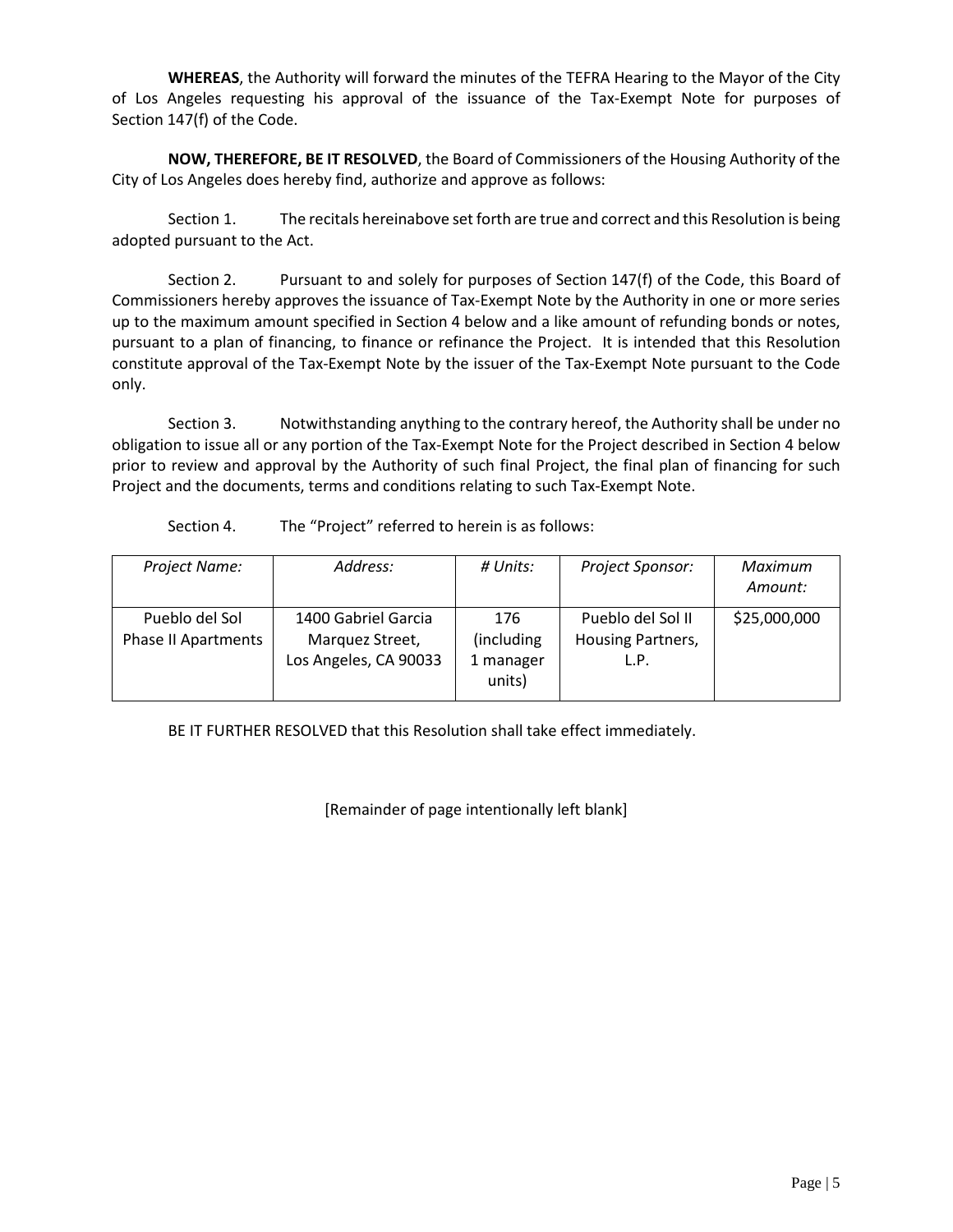**WHEREAS**, the Authority will forward the minutes of the TEFRA Hearing to the Mayor of the City of Los Angeles requesting his approval of the issuance of the Tax-Exempt Note for purposes of Section 147(f) of the Code.

**NOW, THEREFORE, BE IT RESOLVED**, the Board of Commissioners of the Housing Authority of the City of Los Angeles does hereby find, authorize and approve as follows:

Section 1. The recitals hereinabove set forth are true and correct and this Resolution is being adopted pursuant to the Act.

Section 2. Pursuant to and solely for purposes of Section 147(f) of the Code, this Board of Commissioners hereby approves the issuance of Tax-Exempt Note by the Authority in one or more series up to the maximum amount specified in Section 4 below and a like amount of refunding bonds or notes, pursuant to a plan of financing, to finance or refinance the Project. It is intended that this Resolution constitute approval of the Tax-Exempt Note by the issuer of the Tax-Exempt Note pursuant to the Code only.

Section 3. Notwithstanding anything to the contrary hereof, the Authority shall be under no obligation to issue all or any portion of the Tax-Exempt Note for the Project described in Section 4 below prior to review and approval by the Authority of such final Project, the final plan of financing for such Project and the documents, terms and conditions relating to such Tax-Exempt Note.

Section 4. The "Project" referred to herein is as follows:

| Project Name:                                | Address:                                                        | # Units:                                  | Project Sponsor:                               | Maximum<br>Amount: |
|----------------------------------------------|-----------------------------------------------------------------|-------------------------------------------|------------------------------------------------|--------------------|
| Pueblo del Sol<br><b>Phase II Apartments</b> | 1400 Gabriel Garcia<br>Marquez Street,<br>Los Angeles, CA 90033 | 176<br>(including)<br>1 manager<br>units) | Pueblo del Sol II<br>Housing Partners,<br>L.P. | \$25,000,000       |

BE IT FURTHER RESOLVED that this Resolution shall take effect immediately.

[Remainder of page intentionally left blank]